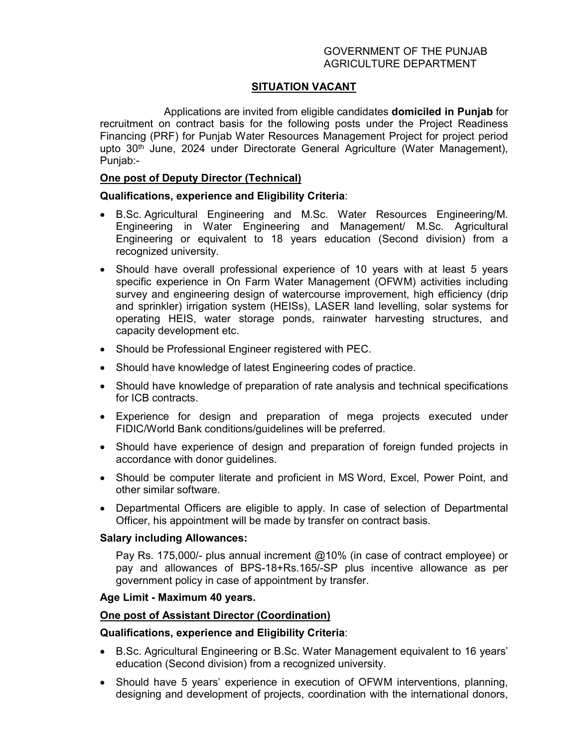# GOVERNMENT OF THE PUNJAB AGRICULTURE DEPARTMENT

# **SITUATION VACANT**

Applications are invited from eligible candidates **domiciled in Punjab** for recruitment on contract basis for the following posts under the Project Readiness Financing (PRF) for Punjab Water Resources Management Project for project period upto 30<sup>th</sup> June, 2024 under Directorate General Agriculture (Water Management), Punjab:-

## **One post of Deputy Director (Technical)**

## **Qualifications, experience and Eligibility Criteria**:

- B.Sc. Agricultural Engineering and M.Sc. Water Resources Engineering/M. Engineering in Water Engineering and Management/ M.Sc. Agricultural Engineering or equivalent to 18 years education (Second division) from a recognized university.
- Should have overall professional experience of 10 years with at least 5 years specific experience in On Farm Water Management (OFWM) activities including survey and engineering design of watercourse improvement, high efficiency (drip and sprinkler) irrigation system (HEISs), LASER land levelling, solar systems for operating HEIS, water storage ponds, rainwater harvesting structures, and capacity development etc.
- Should be Professional Engineer registered with PEC.
- Should have knowledge of latest Engineering codes of practice.
- Should have knowledge of preparation of rate analysis and technical specifications for ICB contracts.
- Experience for design and preparation of mega projects executed under FIDIC/World Bank conditions/guidelines will be preferred.
- Should have experience of design and preparation of foreign funded projects in accordance with donor guidelines.
- Should be computer literate and proficient in MS Word, Excel, Power Point, and other similar software.
- Departmental Officers are eligible to apply. In case of selection of Departmental Officer, his appointment will be made by transfer on contract basis.

#### **Salary including Allowances:**

Pay Rs. 175,000/- plus annual increment @10% (in case of contract employee) or pay and allowances of BPS-18+Rs.165/-SP plus incentive allowance as per government policy in case of appointment by transfer.

#### **Age Limit - Maximum 40 years.**

#### **One post of Assistant Director (Coordination)**

#### **Qualifications, experience and Eligibility Criteria**:

- B.Sc. Agricultural Engineering or B.Sc. Water Management equivalent to 16 years' education (Second division) from a recognized university.
- Should have 5 years' experience in execution of OFWM interventions, planning, designing and development of projects, coordination with the international donors,